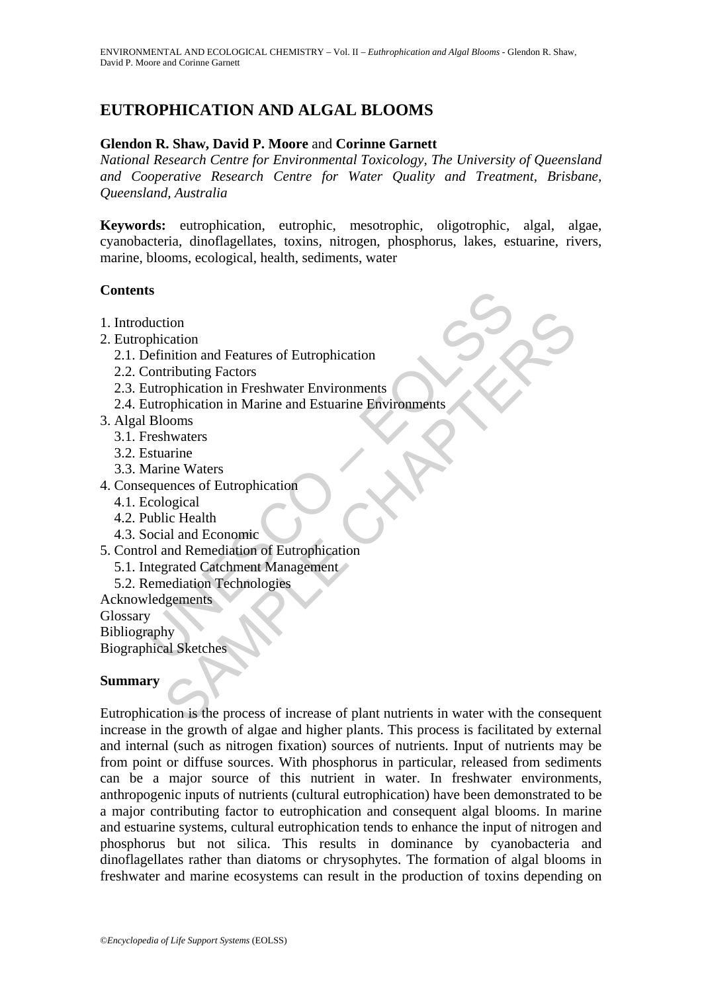# **EUTROPHICATION AND ALGAL BLOOMS**

## **Glendon R. Shaw, David P. Moore** and **Corinne Garnett**

*National Research Centre for Environmental Toxicology, The University of Queensland and Cooperative Research Centre for Water Quality and Treatment, Brisbane, Queensland, Australia* 

**Keywords:** eutrophication, eutrophic, mesotrophic, oligotrophic, algal, algae, cyanobacteria, dinoflagellates, toxins, nitrogen, phosphorus, lakes, estuarine, rivers, marine, blooms, ecological, health, sediments, water

### **Contents**

- 1. Introduction
- 2. Eutrophication
	- 2.1. Definition and Features of Eutrophication
	- 2.2. Contributing Factors
	- 2.3. Eutrophication in Freshwater Environments
- ts<br>
duction<br>
phication<br>
phication<br>
Definition and Features of Eutrophication<br>
Contributing Factors<br>
Currophication in Marine and Estuarine Environments<br>
Europhication in Marine and Estuarine Environments<br>
Freshwaters<br>
Stua 2.4. Eutrophication in Marine and Estuarine Environments
- 3. Algal Blooms
	- 3.1. Freshwaters
	- 3.2. Estuarine
	- 3.3. Marine Waters
- 4. Consequences of Eutrophication
	- 4.1. Ecological
	- 4.2. Public Health
	- 4.3. Social and Economic
- 5. Control and Remediation of Eutrophication
	- 5.1. Integrated Catchment Management
	- 5.2. Remediation Technologies
- Acknowledgements

Glossary Bibliography

Biographical Sketches

# **Summary**

tion<br>
incluing Factors<br>
infulting Factors<br>
tributing Factors<br>
tributing Factors<br>
complication in Marine and Estuarine Environments<br>
complication in Marine and Estuarine Environments<br>
and Remetation<br>
logical<br>
lic Health<br>
li Eutrophication is the process of increase of plant nutrients in water with the consequent increase in the growth of algae and higher plants. This process is facilitated by external and internal (such as nitrogen fixation) sources of nutrients. Input of nutrients may be from point or diffuse sources. With phosphorus in particular, released from sediments can be a major source of this nutrient in water. In freshwater environments, anthropogenic inputs of nutrients (cultural eutrophication) have been demonstrated to be a major contributing factor to eutrophication and consequent algal blooms. In marine and estuarine systems, cultural eutrophication tends to enhance the input of nitrogen and phosphorus but not silica. This results in dominance by cyanobacteria and dinoflagellates rather than diatoms or chrysophytes. The formation of algal blooms in freshwater and marine ecosystems can result in the production of toxins depending on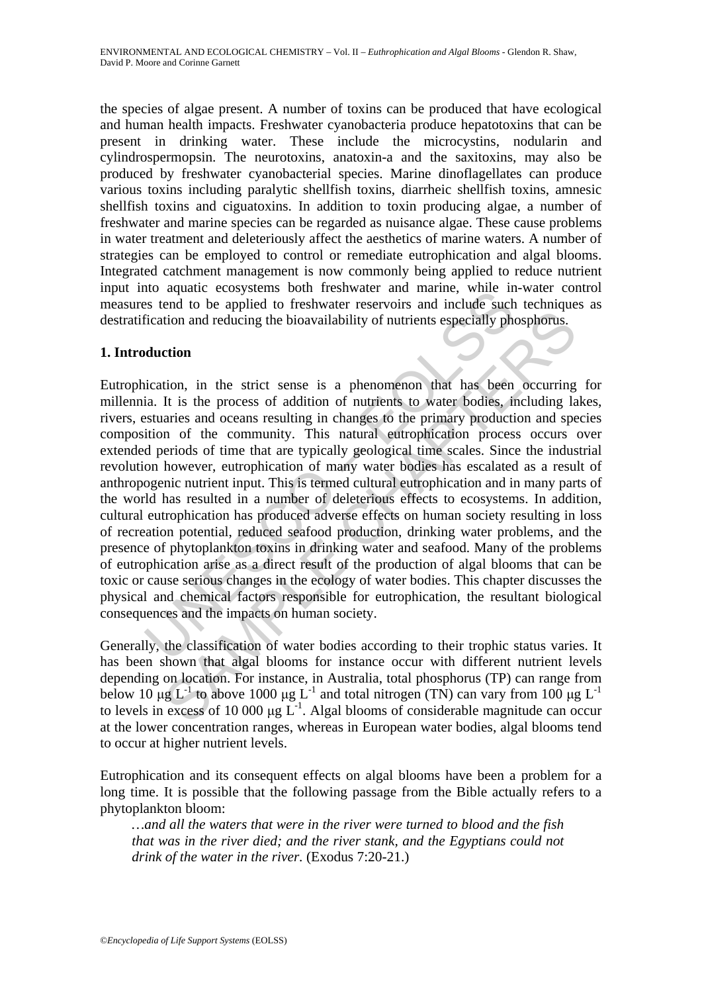the species of algae present. A number of toxins can be produced that have ecological and human health impacts. Freshwater cyanobacteria produce hepatotoxins that can be present in drinking water. These include the microcystins, nodularin and cylindrospermopsin. The neurotoxins, anatoxin-a and the saxitoxins, may also be produced by freshwater cyanobacterial species. Marine dinoflagellates can produce various toxins including paralytic shellfish toxins, diarrheic shellfish toxins, amnesic shellfish toxins and ciguatoxins. In addition to toxin producing algae, a number of freshwater and marine species can be regarded as nuisance algae. These cause problems in water treatment and deleteriously affect the aesthetics of marine waters. A number of strategies can be employed to control or remediate eutrophication and algal blooms. Integrated catchment management is now commonly being applied to reduce nutrient input into aquatic ecosystems both freshwater and marine, while in-water control measures tend to be applied to freshwater reservoirs and include such techniques as destratification and reducing the bioavailability of nutrients especially phosphorus.

# **1. Introduction**

no aquate cosystems boun riesuwater and marine, wime im<br>sess tend to be applied to freshwater reservoirs and include such<br>fication and reducing the bioavailability of nutrients especially phe<br>duction<br>incation, in the stric tion and reducing the bioavailability of nutrients especially phosphorus.<br>
tion and reducing the bioavailability of nutrients especially phosphorus.<br>
etion<br>
tion, in the strict sense is a phenomenon that has been occurrin Eutrophication, in the strict sense is a phenomenon that has been occurring for millennia. It is the process of addition of nutrients to water bodies, including lakes, rivers, estuaries and oceans resulting in changes to the primary production and species composition of the community. This natural eutrophication process occurs over extended periods of time that are typically geological time scales. Since the industrial revolution however, eutrophication of many water bodies has escalated as a result of anthropogenic nutrient input. This is termed cultural eutrophication and in many parts of the world has resulted in a number of deleterious effects to ecosystems. In addition, cultural eutrophication has produced adverse effects on human society resulting in loss of recreation potential, reduced seafood production, drinking water problems, and the presence of phytoplankton toxins in drinking water and seafood. Many of the problems of eutrophication arise as a direct result of the production of algal blooms that can be toxic or cause serious changes in the ecology of water bodies. This chapter discusses the physical and chemical factors responsible for eutrophication, the resultant biological consequences and the impacts on human society.

Generally, the classification of water bodies according to their trophic status varies. It has been shown that algal blooms for instance occur with different nutrient levels depending on location. For instance, in Australia, total phosphorus (TP) can range from below 10 μg L<sup>-1</sup> to above 1000 μg L<sup>-1</sup> and total nitrogen (TN) can vary from 100 μg L<sup>-1</sup> to levels in excess of  $10\,000$   $\mu$ g L<sup>-1</sup>. Algal blooms of considerable magnitude can occur at the lower concentration ranges, whereas in European water bodies, algal blooms tend to occur at higher nutrient levels.

Eutrophication and its consequent effects on algal blooms have been a problem for a long time. It is possible that the following passage from the Bible actually refers to a phytoplankton bloom:

*…and all the waters that were in the river were turned to blood and the fish that was in the river died; and the river stank, and the Egyptians could not drink of the water in the river.* (Exodus 7:20-21.)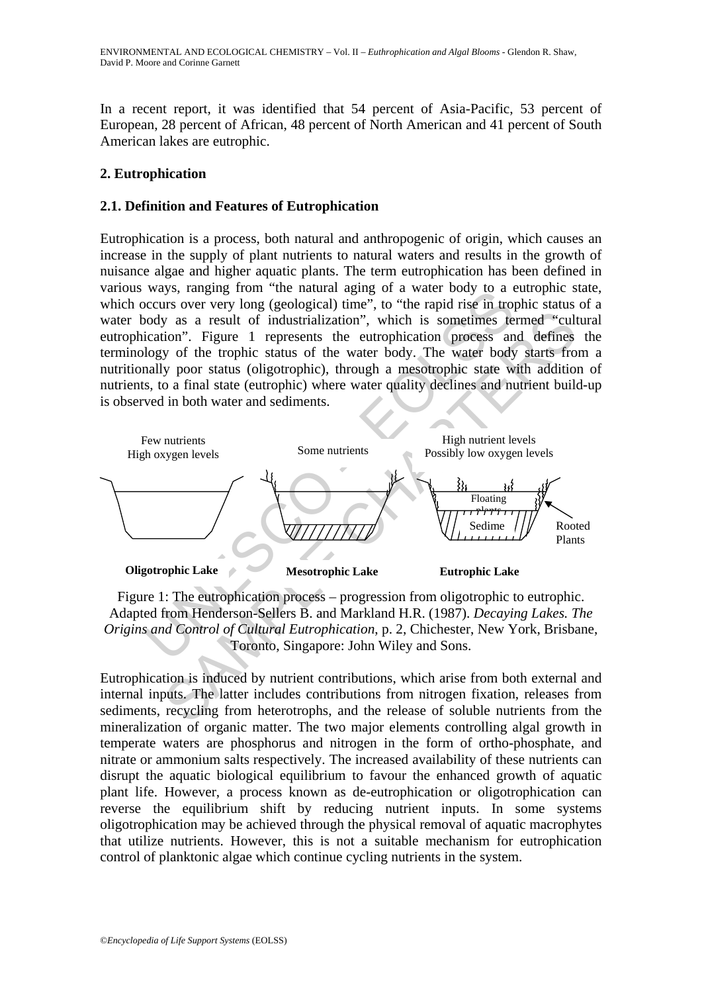In a recent report, it was identified that 54 percent of Asia-Pacific, 53 percent of European, 28 percent of African, 48 percent of North American and 41 percent of South American lakes are eutrophic.

## **2. Eutrophication**

### **2.1. Definition and Features of Eutrophication**

Eutrophication is a process, both natural and anthropogenic of origin, which causes an increase in the supply of plant nutrients to natural waters and results in the growth of nuisance algae and higher aquatic plants. The term eutrophication has been defined in various ways, ranging from "the natural aging of a water body to a eutrophic state, which occurs over very long (geological) time", to "the rapid rise in trophic status of a water body as a result of industrialization", which is sometimes termed "cultural eutrophication". Figure 1 represents the eutrophication process and defines the terminology of the trophic status of the water body. The water body starts from a nutritionally poor status (oligotrophic), through a mesotrophic state with addition of nutrients, to a final state (eutrophic) where water quality declines and nutrient build-up is observed in both water and sediments.



Figure 1: The eutrophication process – progression from oligotrophic to eutrophic. Adapted from Henderson-Sellers B. and Markland H.R. (1987). *Decaying Lakes. The Origins and Control of Cultural Eutrophication*, p. 2, Chichester, New York, Brisbane, Toronto, Singapore: John Wiley and Sons.

Eutrophication is induced by nutrient contributions, which arise from both external and internal inputs. The latter includes contributions from nitrogen fixation, releases from sediments, recycling from heterotrophs, and the release of soluble nutrients from the mineralization of organic matter. The two major elements controlling algal growth in temperate waters are phosphorus and nitrogen in the form of ortho-phosphate, and nitrate or ammonium salts respectively. The increased availability of these nutrients can disrupt the aquatic biological equilibrium to favour the enhanced growth of aquatic plant life. However, a process known as de-eutrophication or oligotrophication can reverse the equilibrium shift by reducing nutrient inputs. In some systems oligotrophication may be achieved through the physical removal of aquatic macrophytes that utilize nutrients. However, this is not a suitable mechanism for eutrophication control of planktonic algae which continue cycling nutrients in the system.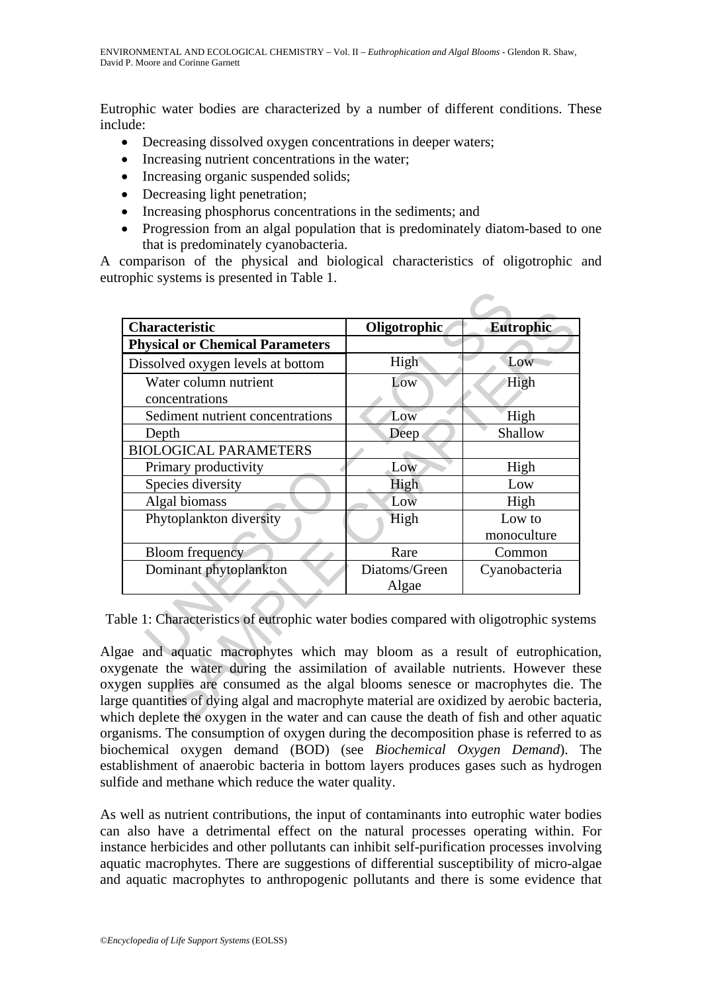Eutrophic water bodies are characterized by a number of different conditions. These include:

- Decreasing dissolved oxygen concentrations in deeper waters;
- Increasing nutrient concentrations in the water;
- Increasing organic suspended solids;
- Decreasing light penetration;
- Increasing phosphorus concentrations in the sediments; and
- Progression from an algal population that is predominately diatom-based to one that is predominately cyanobacteria.

A comparison of the physical and biological characteristics of oligotrophic and eutrophic systems is presented in Table 1.

| Oligotrophic<br>High<br>Low | Eutrophic<br>Low<br>High                                                           |
|-----------------------------|------------------------------------------------------------------------------------|
|                             |                                                                                    |
|                             |                                                                                    |
|                             |                                                                                    |
|                             |                                                                                    |
| Low                         | High                                                                               |
| Deep                        | Shallow                                                                            |
|                             |                                                                                    |
| Low                         | High                                                                               |
| High                        | Low                                                                                |
| Low                         | High                                                                               |
| High                        | Low to                                                                             |
|                             | monoculture                                                                        |
| Rare                        | Common                                                                             |
| Diatoms/Green               | Cyanobacteria                                                                      |
| Algae                       |                                                                                    |
|                             | ble 1: Characteristics of eutrophic water bodies compared with oligotrophic system |

Table 1: Characteristics of eutrophic water bodies compared with oligotrophic systems

Algae and aquatic macrophytes which may bloom as a result of eutrophication, oxygenate the water during the assimilation of available nutrients. However these oxygen supplies are consumed as the algal blooms senesce or macrophytes die. The large quantities of dying algal and macrophyte material are oxidized by aerobic bacteria, which deplete the oxygen in the water and can cause the death of fish and other aquatic organisms. The consumption of oxygen during the decomposition phase is referred to as biochemical oxygen demand (BOD) (see *Biochemical Oxygen Demand*). The establishment of anaerobic bacteria in bottom layers produces gases such as hydrogen sulfide and methane which reduce the water quality.

As well as nutrient contributions, the input of contaminants into eutrophic water bodies can also have a detrimental effect on the natural processes operating within. For instance herbicides and other pollutants can inhibit self-purification processes involving aquatic macrophytes. There are suggestions of differential susceptibility of micro-algae and aquatic macrophytes to anthropogenic pollutants and there is some evidence that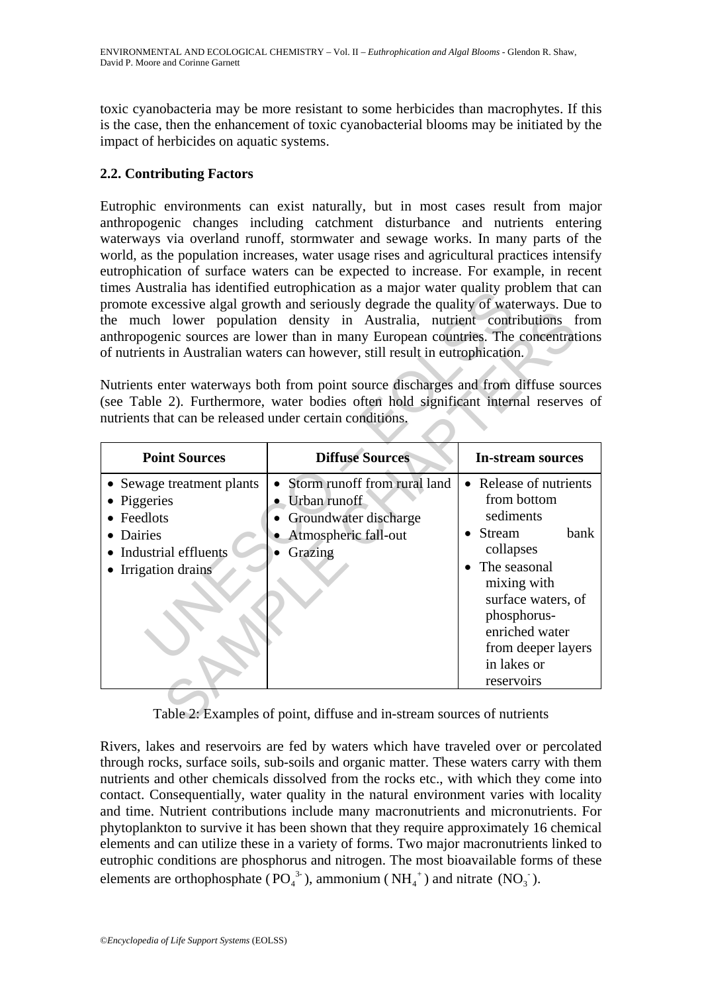toxic cyanobacteria may be more resistant to some herbicides than macrophytes. If this is the case, then the enhancement of toxic cyanobacterial blooms may be initiated by the impact of herbicides on aquatic systems.

# **2.2. Contributing Factors**

Eutrophic environments can exist naturally, but in most cases result from major anthropogenic changes including catchment disturbance and nutrients entering waterways via overland runoff, stormwater and sewage works. In many parts of the world, as the population increases, water usage rises and agricultural practices intensify eutrophication of surface waters can be expected to increase. For example, in recent times Australia has identified eutrophication as a major water quality problem that can promote excessive algal growth and seriously degrade the quality of waterways. Due to the much lower population density in Australia, nutrient contributions from anthropogenic sources are lower than in many European countries. The concentrations of nutrients in Australian waters can however, still result in eutrophication.

| unies Australia nas identified eutrophication as a major water quality problem that can<br>promote excessive algal growth and seriously degrade the quality of waterways. Due to<br>the much lower population density in Australia, nutrient contributions from<br>anthropogenic sources are lower than in many European countries. The concentrations<br>of nutrients in Australian waters can however, still result in eutrophication.<br>Nutrients enter waterways both from point source discharges and from diffuse sources<br>(see Table 2). Furthermore, water bodies often hold significant internal reserves of<br>nutrients that can be released under certain conditions. |                                                                                                                                                   |                                                                                                                                                                                                                              |  |
|--------------------------------------------------------------------------------------------------------------------------------------------------------------------------------------------------------------------------------------------------------------------------------------------------------------------------------------------------------------------------------------------------------------------------------------------------------------------------------------------------------------------------------------------------------------------------------------------------------------------------------------------------------------------------------------|---------------------------------------------------------------------------------------------------------------------------------------------------|------------------------------------------------------------------------------------------------------------------------------------------------------------------------------------------------------------------------------|--|
| <b>Point Sources</b>                                                                                                                                                                                                                                                                                                                                                                                                                                                                                                                                                                                                                                                                 | <b>Diffuse Sources</b>                                                                                                                            | <b>In-stream sources</b>                                                                                                                                                                                                     |  |
| • Sewage treatment plants<br>Piggeries<br>Feedlots<br><b>Dairies</b><br>Industrial effluents<br>Irrigation drains                                                                                                                                                                                                                                                                                                                                                                                                                                                                                                                                                                    | Storm runoff from rural land<br>$\bullet$<br>• Urban runoff<br>Groundwater discharge<br>$\bullet$<br>Atmospheric fall-out<br>$\bullet$<br>Grazing | • Release of nutrients<br>from bottom<br>sediments<br>bank<br>• Stream<br>collapses<br>The seasonal<br>mixing with<br>surface waters, of<br>phosphorus-<br>enriched water<br>from deeper layers<br>in lakes or<br>reservoirs |  |
| Table 2: Examples of point, diffuse and in-stream sources of nutrients                                                                                                                                                                                                                                                                                                                                                                                                                                                                                                                                                                                                               |                                                                                                                                                   |                                                                                                                                                                                                                              |  |

Rivers, lakes and reservoirs are fed by waters which have traveled over or percolated through rocks, surface soils, sub-soils and organic matter. These waters carry with them nutrients and other chemicals dissolved from the rocks etc., with which they come into contact. Consequentially, water quality in the natural environment varies with locality and time. Nutrient contributions include many macronutrients and micronutrients. For phytoplankton to survive it has been shown that they require approximately 16 chemical elements and can utilize these in a variety of forms. Two major macronutrients linked to eutrophic conditions are phosphorus and nitrogen. The most bioavailable forms of these elements are orthophosphate ( $PO_4^{3}$ ), ammonium ( $NH_4^+$ ) and nitrate ( $NO_3^-$ ).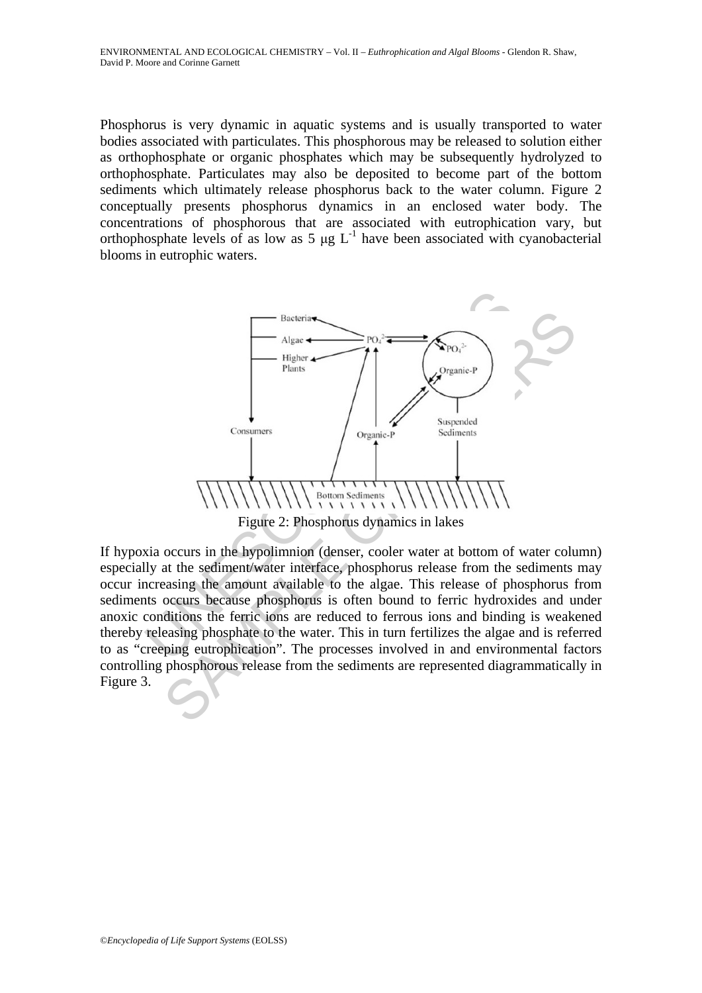Phosphorus is very dynamic in aquatic systems and is usually transported to water bodies associated with particulates. This phosphorous may be released to solution either as orthophosphate or organic phosphates which may be subsequently hydrolyzed to orthophosphate. Particulates may also be deposited to become part of the bottom sediments which ultimately release phosphorus back to the water column. Figure 2 conceptually presents phosphorus dynamics in an enclosed water body. The concentrations of phosphorous that are associated with eutrophication vary, but orthophosphate levels of as low as  $5 \mu g L^{-1}$  have been associated with cyanobacterial blooms in eutrophic waters.



If hypoxia occurs in the hypolimnion (denser, cooler water at bottom of water column) especially at the sediment/water interface, phosphorus release from the sediments may occur increasing the amount available to the algae. This release of phosphorus from sediments occurs because phosphorus is often bound to ferric hydroxides and under anoxic conditions the ferric ions are reduced to ferrous ions and binding is weakened thereby releasing phosphate to the water. This in turn fertilizes the algae and is referred to as "creeping eutrophication". The processes involved in and environmental factors controlling phosphorous release from the sediments are represented diagrammatically in Figure 3.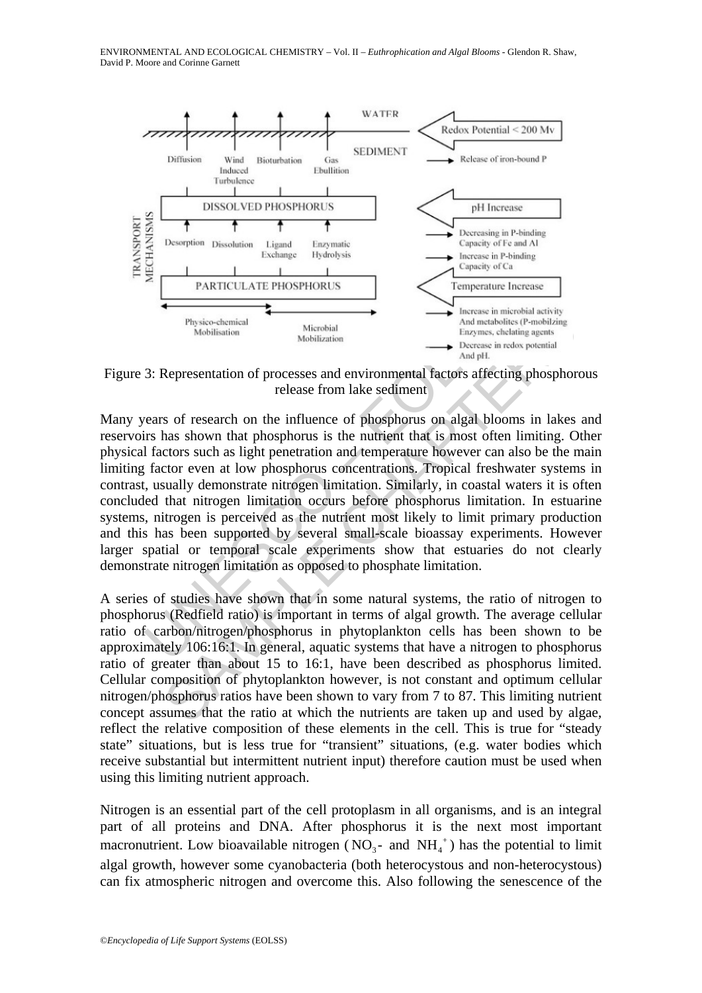

Figure 3: Representation of processes and environmental factors affecting phosphorous release from lake sediment

Physico-chemical<br>
Mobilization<br>
Mobilization<br>
Mobilization<br>
Mobilization<br>
They also also have been implemented<br>
They also have been implemented<br>
They also have been implemented<br>
They also have been also been also been also Physics-chemical<br>
Merobial Merobial<br>
Merobial Merobial<br>
Merobial Merobial<br>
Shop methanics (P-mobilization<br>
Shop methanics (P-mobilization<br>
Shop methanics of research on the influence of phosphorus on algal blooms in lakes<br> Many years of research on the influence of phosphorus on algal blooms in lakes and reservoirs has shown that phosphorus is the nutrient that is most often limiting. Other physical factors such as light penetration and temperature however can also be the main limiting factor even at low phosphorus concentrations. Tropical freshwater systems in contrast, usually demonstrate nitrogen limitation. Similarly, in coastal waters it is often concluded that nitrogen limitation occurs before phosphorus limitation. In estuarine systems, nitrogen is perceived as the nutrient most likely to limit primary production and this has been supported by several small-scale bioassay experiments. However larger spatial or temporal scale experiments show that estuaries do not clearly demonstrate nitrogen limitation as opposed to phosphate limitation.

A series of studies have shown that in some natural systems, the ratio of nitrogen to phosphorus (Redfield ratio) is important in terms of algal growth. The average cellular ratio of carbon/nitrogen/phosphorus in phytoplankton cells has been shown to be approximately 106:16:1. In general, aquatic systems that have a nitrogen to phosphorus ratio of greater than about 15 to 16:1, have been described as phosphorus limited. Cellular composition of phytoplankton however, is not constant and optimum cellular nitrogen/phosphorus ratios have been shown to vary from 7 to 87. This limiting nutrient concept assumes that the ratio at which the nutrients are taken up and used by algae, reflect the relative composition of these elements in the cell. This is true for "steady state" situations, but is less true for "transient" situations, (e.g. water bodies which receive substantial but intermittent nutrient input) therefore caution must be used when using this limiting nutrient approach.

Nitrogen is an essential part of the cell protoplasm in all organisms, and is an integral part of all proteins and DNA. After phosphorus it is the next most important macronutrient. Low bioavailable nitrogen ( $NO<sub>3</sub>$ - and  $NH<sub>4</sub>$ <sup>+</sup>) has the potential to limit algal growth, however some cyanobacteria (both heterocystous and non-heterocystous) can fix atmospheric nitrogen and overcome this. Also following the senescence of the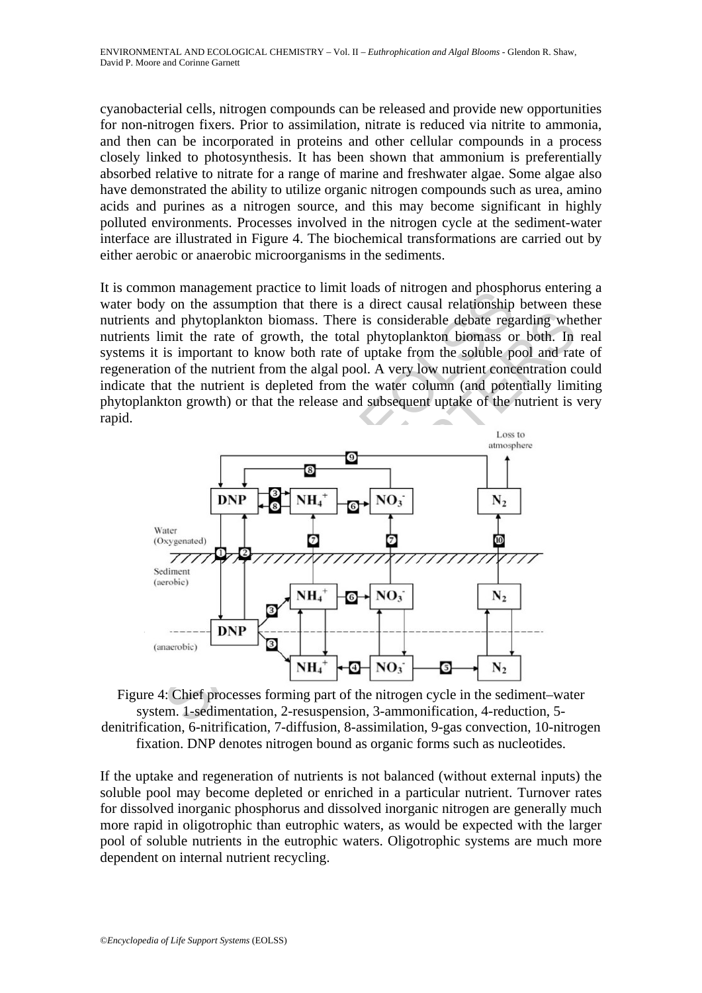cyanobacterial cells, nitrogen compounds can be released and provide new opportunities for non-nitrogen fixers. Prior to assimilation, nitrate is reduced via nitrite to ammonia, and then can be incorporated in proteins and other cellular compounds in a process closely linked to photosynthesis. It has been shown that ammonium is preferentially absorbed relative to nitrate for a range of marine and freshwater algae. Some algae also have demonstrated the ability to utilize organic nitrogen compounds such as urea, amino acids and purines as a nitrogen source, and this may become significant in highly polluted environments. Processes involved in the nitrogen cycle at the sediment-water interface are illustrated in Figure 4. The biochemical transformations are carried out by either aerobic or anaerobic microorganisms in the sediments.

It is common management practice to limit loads of nitrogen and phosphorus entering a water body on the assumption that there is a direct causal relationship between these nutrients and phytoplankton biomass. There is considerable debate regarding whether nutrients limit the rate of growth, the total phytoplankton biomass or both. In real systems it is important to know both rate of uptake from the soluble pool and rate of regeneration of the nutrient from the algal pool. A very low nutrient concentration could indicate that the nutrient is depleted from the water column (and potentially limiting phytoplankton growth) or that the release and subsequent uptake of the nutrient is very rapid.



Figure 4: Chief processes forming part of the nitrogen cycle in the sediment–water system. 1-sedimentation, 2-resuspension, 3-ammonification, 4-reduction, 5 denitrification, 6-nitrification, 7-diffusion, 8-assimilation, 9-gas convection, 10-nitrogen fixation. DNP denotes nitrogen bound as organic forms such as nucleotides.

If the uptake and regeneration of nutrients is not balanced (without external inputs) the soluble pool may become depleted or enriched in a particular nutrient. Turnover rates for dissolved inorganic phosphorus and dissolved inorganic nitrogen are generally much more rapid in oligotrophic than eutrophic waters, as would be expected with the larger pool of soluble nutrients in the eutrophic waters. Oligotrophic systems are much more dependent on internal nutrient recycling.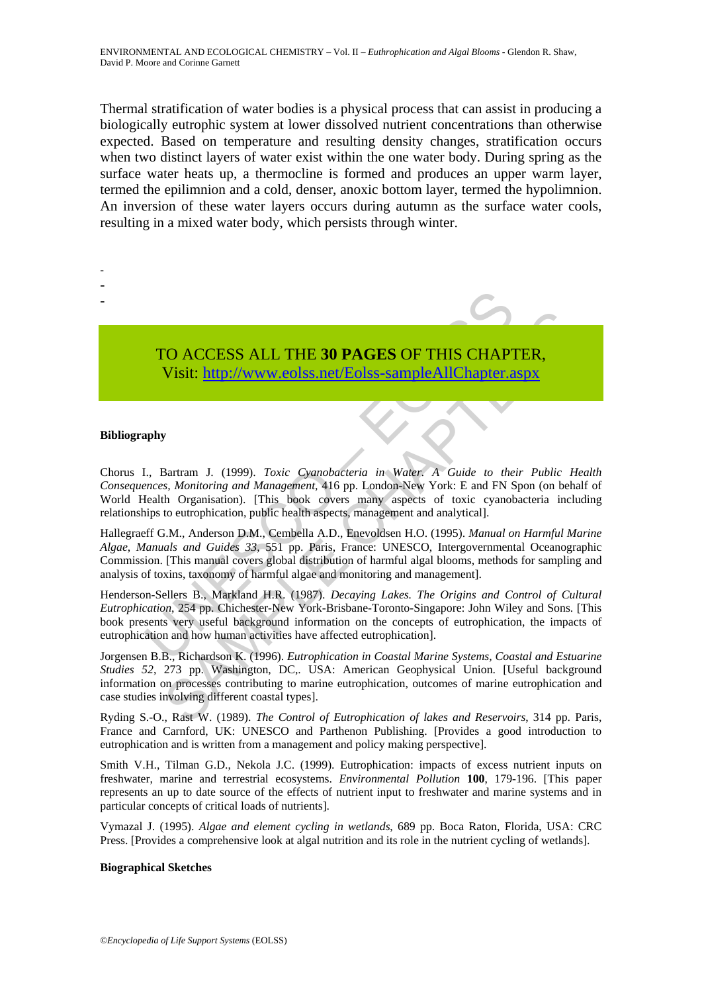Thermal stratification of water bodies is a physical process that can assist in producing a biologically eutrophic system at lower dissolved nutrient concentrations than otherwise expected. Based on temperature and resulting density changes, stratification occurs when two distinct layers of water exist within the one water body. During spring as the surface water heats up, a thermocline is formed and produces an upper warm layer, termed the epilimnion and a cold, denser, anoxic bottom layer, termed the hypolimnion. An inversion of these water layers occurs during autumn as the surface water cools, resulting in a mixed water body, which persists through winter.

# TO ACCESS ALL THE **30 PAGES** OF THIS CHAPTER, Visit: http://www.eolss.net/Eolss-sampleAllChapter.aspx

#### **Bibliography**

- - -

TO ACCESS ALL THE 30 PAGES OF THIS CHAPT<br>Visit: http://www.eolss.net/Eolss-sampleAllChapter.a<br>phy<br>to Unit interpreteration of the physical chapter of<br>merces, Monitoring and Management, 416 pp. London-New York: E and FN S<br>f TO ACCESS ALL THE 30 PAGES OF THIS CHAP[TER](https://www.eolss.net/ebooklib/sc_cart.aspx?File=E6-13-04-04),<br>Visit: http://www.eolss.net/Eolss-sampleAllChapter.aspx<br>SAMPLER, Montioring and Management, 416 pp. London-Rev York: E and FN Spot<br>Bartram J. (1999). Toxic Cyamobacteria in Water Chorus I., Bartram J. (1999). *Toxic Cyanobacteria in Water. A Guide to their Public Health Consequences, Monitoring and Management,* 416 pp. London-New York: E and FN Spon (on behalf of World Health Organisation). [This book covers many aspects of toxic cyanobacteria including relationships to eutrophication, public health aspects, management and analytical].

Hallegraeff G.M., Anderson D.M., Cembella A.D., Enevoldsen H.O. (1995). *Manual on Harmful Marine Algae*, *Manuals and Guides 33,* 551 pp. Paris, France: UNESCO, Intergovernmental Oceanographic Commission. [This manual covers global distribution of harmful algal blooms, methods for sampling and analysis of toxins, taxonomy of harmful algae and monitoring and management].

Henderson-Sellers B., Markland H.R. (1987). *Decaying Lakes. The Origins and Control of Cultural Eutrophication*, 254 pp. Chichester-New York-Brisbane-Toronto-Singapore: John Wiley and Sons. [This book presents very useful background information on the concepts of eutrophication, the impacts of eutrophication and how human activities have affected eutrophication].

Jorgensen B.B., Richardson K. (1996). *Eutrophication in Coastal Marine Systems, Coastal and Estuarine Studies 52*, 273 pp. Washington, DC,. USA: American Geophysical Union. [Useful background information on processes contributing to marine eutrophication, outcomes of marine eutrophication and case studies involving different coastal types].

Ryding S.-O., Rast W. (1989). *The Control of Eutrophication of lakes and Reservoirs*, 314 pp. Paris, France and Carnford, UK: UNESCO and Parthenon Publishing. [Provides a good introduction to eutrophication and is written from a management and policy making perspective].

Smith V.H., Tilman G.D., Nekola J.C. (1999). Eutrophication: impacts of excess nutrient inputs on freshwater, marine and terrestrial ecosystems. *Environmental Pollution* **100**, 179-196. [This paper represents an up to date source of the effects of nutrient input to freshwater and marine systems and in particular concepts of critical loads of nutrients].

Vymazal J. (1995). *Algae and element cycling in wetlands*, 689 pp. Boca Raton, Florida, USA: CRC Press. [Provides a comprehensive look at algal nutrition and its role in the nutrient cycling of wetlands].

#### **Biographical Sketches**